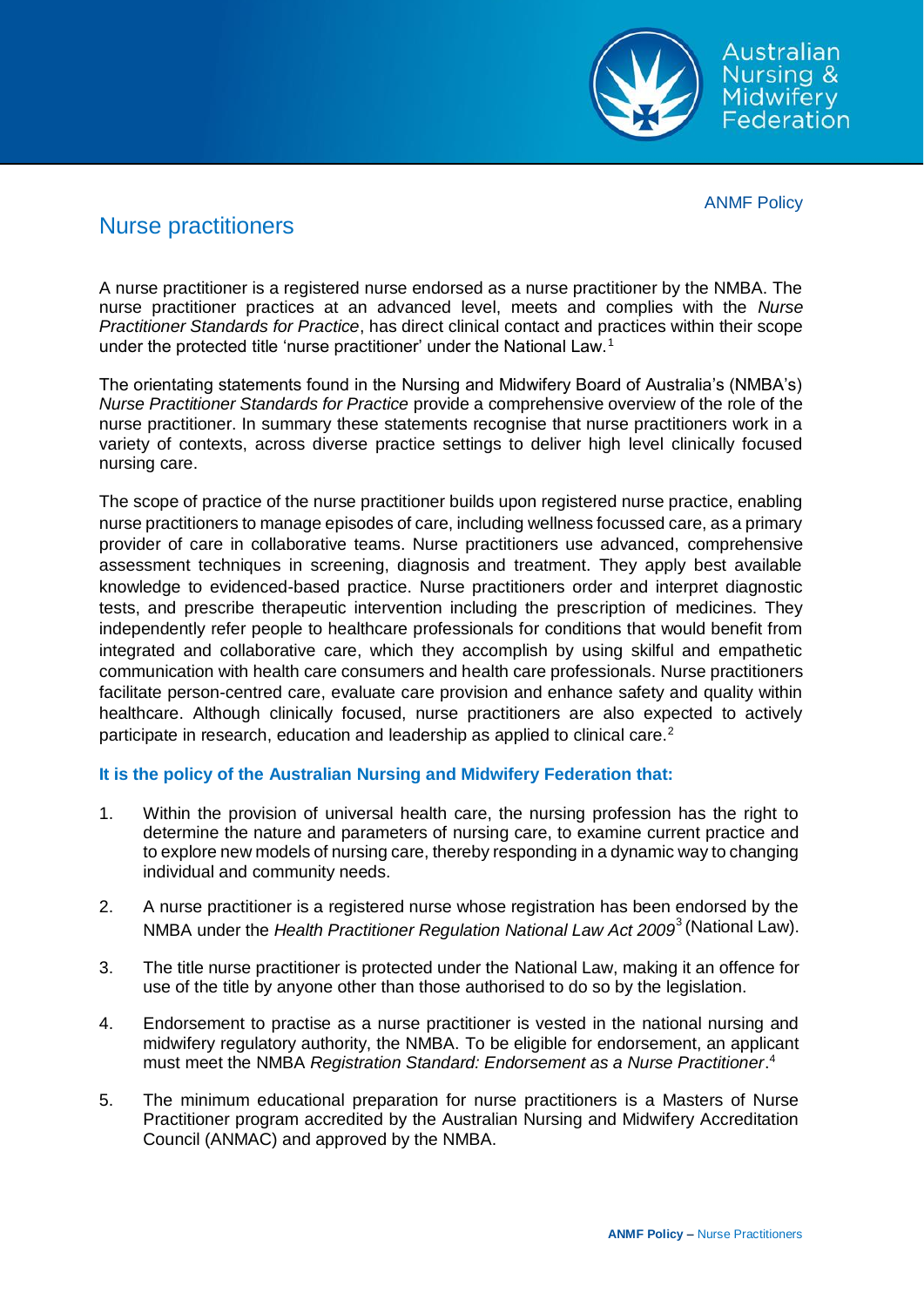Australian **Nursing &** Midwifery Federation

ANMF Policy

## Nurse practitioners

A nurse practitioner is a registered nurse endorsed as a nurse practitioner by the NMBA. The nurse practitioner practices at an advanced level, meets and complies with the *Nurse Practitioner Standards for Practice*, has direct clinical contact and practices within their scope under the protected title 'nurse practitioner' under the National Law.<sup>1</sup>

The orientating statements found in the Nursing and Midwifery Board of Australia's (NMBA's) *Nurse Practitioner Standards for Practice* provide a comprehensive overview of the role of the nurse practitioner. In summary these statements recognise that nurse practitioners work in a variety of contexts, across diverse practice settings to deliver high level clinically focused nursing care.

The scope of practice of the nurse practitioner builds upon registered nurse practice, enabling nurse practitioners to manage episodes of care, including wellness focussed care, as a primary provider of care in collaborative teams. Nurse practitioners use advanced, comprehensive assessment techniques in screening, diagnosis and treatment. They apply best available knowledge to evidenced-based practice. Nurse practitioners order and interpret diagnostic tests, and prescribe therapeutic intervention including the prescription of medicines. They independently refer people to healthcare professionals for conditions that would benefit from integrated and collaborative care, which they accomplish by using skilful and empathetic communication with health care consumers and health care professionals. Nurse practitioners facilitate person-centred care, evaluate care provision and enhance safety and quality within healthcare. Although clinically focused, nurse practitioners are also expected to actively participate in research, education and leadership as applied to clinical care.<sup>2</sup>

## **It is the policy of the Australian Nursing and Midwifery Federation that:**

- 1. Within the provision of universal health care, the nursing profession has the right to determine the nature and parameters of nursing care, to examine current practice and to explore new models of nursing care, thereby responding in a dynamic way to changing individual and community needs.
- 2. A nurse practitioner is a registered nurse whose registration has been endorsed by the NMBA under the *Health Practitioner Regulation National Law Act 2009*<sup>3</sup> (National Law).
- 3. The title nurse practitioner is protected under the National Law, making it an offence for use of the title by anyone other than those authorised to do so by the legislation.
- 4. Endorsement to practise as a nurse practitioner is vested in the national nursing and midwifery regulatory authority, the NMBA. To be eligible for endorsement, an applicant must meet the NMBA *Registration Standard: Endorsement as a Nurse Practitioner*. 4
- 5. The minimum educational preparation for nurse practitioners is a Masters of Nurse Practitioner program accredited by the Australian Nursing and Midwifery Accreditation Council (ANMAC) and approved by the NMBA.